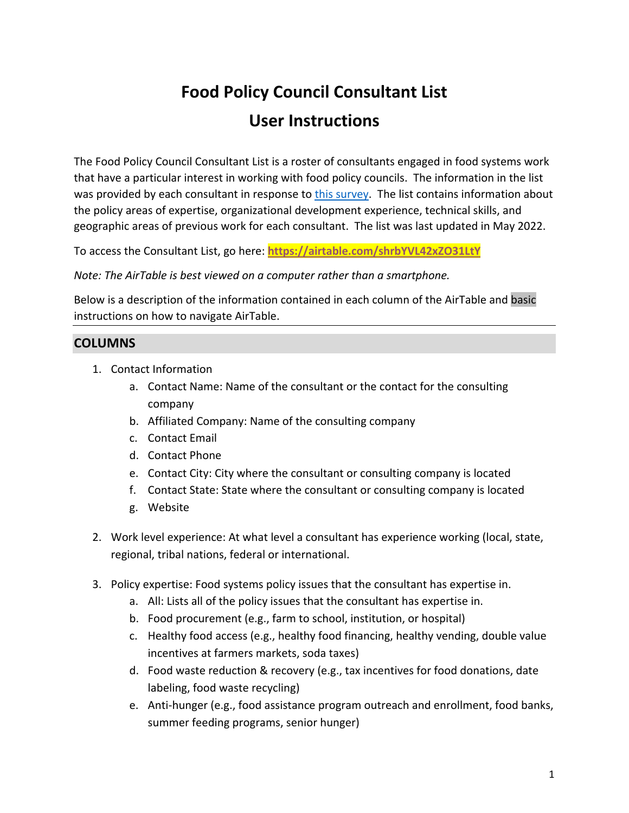# **Food Policy Council Consultant List User Instructions**

The Food Policy Council Consultant List is a roster of consultants engaged in food systems work that have a particular interest in working with food policy councils. The information in the list was provided by each consultant in response to [this survey.](http://jhsph.co1.qualtrics.com/jfe/form/SV_dcZobOeCp4Z989v) The list contains information about the policy areas of expertise, organizational development experience, technical skills, and geographic areas of previous work for each consultant. The list was last updated in May 2022.

To access the Consultant List, go here: **https://airtable.com/shrbYVL42xZO31LtY**

*Note: The AirTable is best viewed on a computer rather than a smartphone.*

Below is a description of the information contained in each column of the AirTable and basic instructions on how to navigate AirTable.

## **COLUMNS**

- 1. Contact Information
	- a. Contact Name: Name of the consultant or the contact for the consulting company
	- b. Affiliated Company: Name of the consulting company
	- c. Contact Email
	- d. Contact Phone
	- e. Contact City: City where the consultant or consulting company is located
	- f. Contact State: State where the consultant or consulting company is located
	- g. Website
- 2. Work level experience: At what level a consultant has experience working (local, state, regional, tribal nations, federal or international.
- 3. Policy expertise: Food systems policy issues that the consultant has expertise in.
	- a. All: Lists all of the policy issues that the consultant has expertise in.
	- b. Food procurement (e.g., farm to school, institution, or hospital)
	- c. Healthy food access (e.g., healthy food financing, healthy vending, double value incentives at farmers markets, soda taxes)
	- d. Food waste reduction & recovery (e.g., tax incentives for food donations, date labeling, food waste recycling)
	- e. Anti-hunger (e.g., food assistance program outreach and enrollment, food banks, summer feeding programs, senior hunger)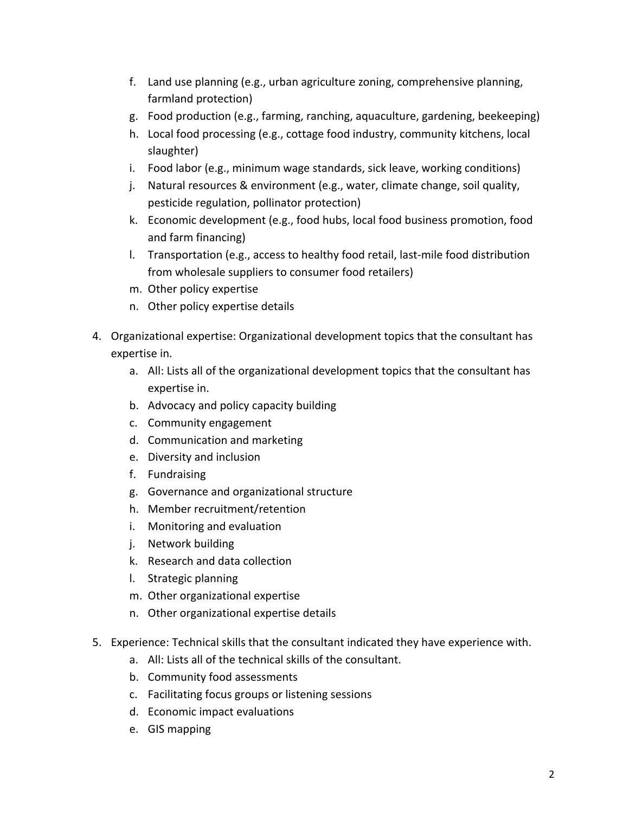- f. Land use planning (e.g., urban agriculture zoning, comprehensive planning, farmland protection)
- g. Food production (e.g., farming, ranching, aquaculture, gardening, beekeeping)
- h. Local food processing (e.g., cottage food industry, community kitchens, local slaughter)
- i. Food labor (e.g., minimum wage standards, sick leave, working conditions)
- j. Natural resources & environment (e.g., water, climate change, soil quality, pesticide regulation, pollinator protection)
- k. Economic development (e.g., food hubs, local food business promotion, food and farm financing)
- l. Transportation (e.g., access to healthy food retail, last-mile food distribution from wholesale suppliers to consumer food retailers)
- m. Other policy expertise
- n. Other policy expertise details
- 4. Organizational expertise: Organizational development topics that the consultant has expertise in.
	- a. All: Lists all of the organizational development topics that the consultant has expertise in.
	- b. Advocacy and policy capacity building
	- c. Community engagement
	- d. Communication and marketing
	- e. Diversity and inclusion
	- f. Fundraising
	- g. Governance and organizational structure
	- h. Member recruitment/retention
	- i. Monitoring and evaluation
	- j. Network building
	- k. Research and data collection
	- l. Strategic planning
	- m. Other organizational expertise
	- n. Other organizational expertise details
- 5. Experience: Technical skills that the consultant indicated they have experience with.
	- a. All: Lists all of the technical skills of the consultant.
	- b. Community food assessments
	- c. Facilitating focus groups or listening sessions
	- d. Economic impact evaluations
	- e. GIS mapping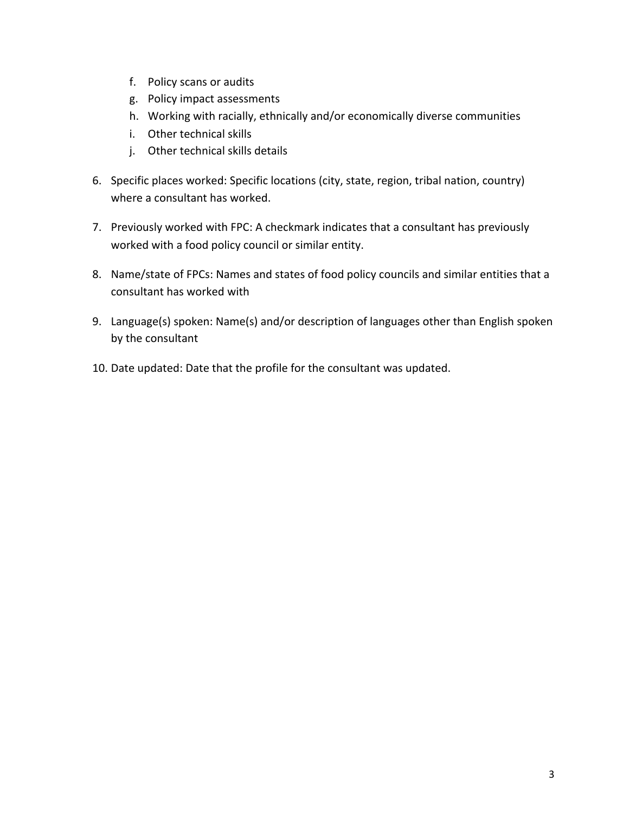- f. Policy scans or audits
- g. Policy impact assessments
- h. Working with racially, ethnically and/or economically diverse communities
- i. Other technical skills
- j. Other technical skills details
- 6. Specific places worked: Specific locations (city, state, region, tribal nation, country) where a consultant has worked.
- 7. Previously worked with FPC: A checkmark indicates that a consultant has previously worked with a food policy council or similar entity.
- 8. Name/state of FPCs: Names and states of food policy councils and similar entities that a consultant has worked with
- 9. Language(s) spoken: Name(s) and/or description of languages other than English spoken by the consultant
- 10. Date updated: Date that the profile for the consultant was updated.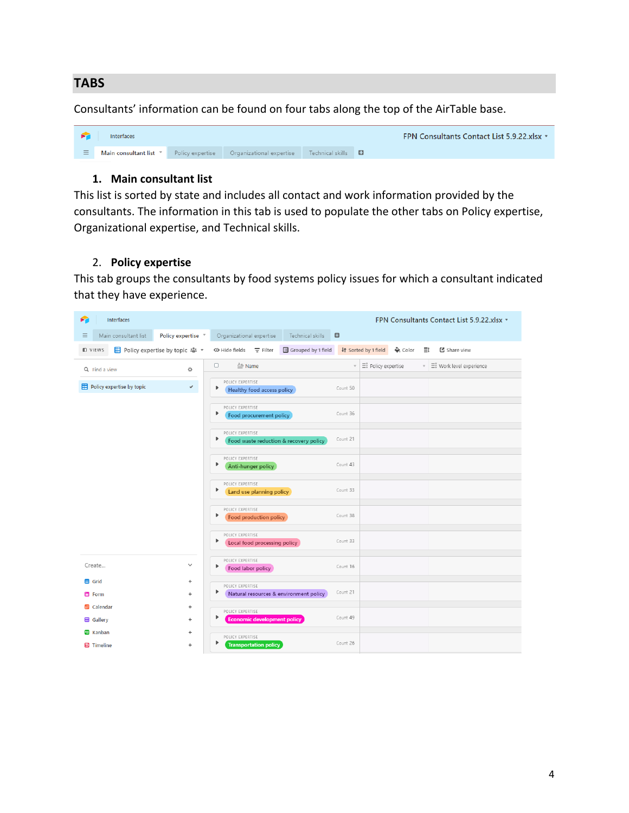#### **TABS**

Consultants' information can be found on four tabs along the top of the AirTable base.



#### **1. Main consultant list**

This list is sorted by state and includes all contact and work information provided by the consultants. The information in this tab is used to populate the other tabs on Policy expertise, Organizational expertise, and Technical skills.

#### 2. **Policy expertise**

This tab groups the consultants by food systems policy issues for which a consultant indicated that they have experience.

| Interfaces<br>≍                       |                    |                                                                 |                             |          |                      |                     |          | FPN Consultants Contact List 5.9.22.xlsx * |
|---------------------------------------|--------------------|-----------------------------------------------------------------|-----------------------------|----------|----------------------|---------------------|----------|--------------------------------------------|
| Ξ<br>Main consultant list             | Policy expertise v | Organizational expertise                                        | Technical skills            | $\Box$   |                      |                     |          |                                            |
| <b>D</b> VIEWS                        |                    | $\heartsuit$ Hide fields $\equiv$ Filter                        | <b>B</b> Grouped by 1 field |          | It Sorted by 1 field | $\triangle$ , Color | $\equiv$ | 【 Share view                               |
| Q Find a view                         | 春                  | 0<br>$\triangle$ Name                                           |                             |          | E: Policy expertise  |                     |          | ▼ $\equiv$ Work level experience           |
| Policy expertise by topic             | $\checkmark$       | POLICY EXPERTISE<br>▶<br>Healthy food access policy             |                             | Count 50 |                      |                     |          |                                            |
|                                       |                    | POLICY EXPERTISE<br>٠<br>Food procurement policy                |                             | Count 36 |                      |                     |          |                                            |
|                                       |                    | POLICY EXPERTISE<br>▶<br>Food waste reduction & recovery policy |                             | Count 21 |                      |                     |          |                                            |
|                                       |                    | POLICY EXPERTISE<br>▶<br>Anti-hunger policy                     |                             | Count 43 |                      |                     |          |                                            |
|                                       |                    | POLICY EXPERTISE<br>▶<br>Land use planning policy               |                             | Count 33 |                      |                     |          |                                            |
|                                       |                    | POLICY EXPERTISE<br>▶<br>Food production policy                 |                             | Count 38 |                      |                     |          |                                            |
|                                       |                    | POLICY EXPERTISE<br>Þ<br>Local food processing policy           |                             | Count 33 |                      |                     |          |                                            |
| Create                                | $\checkmark$       | POLICY EXPERTISE<br>٠<br>Food labor policy                      |                             | Count 16 |                      |                     |          |                                            |
| <b>田</b> Grid                         | ÷                  | POLICY EXPERTISE                                                |                             |          |                      |                     |          |                                            |
| 目 Form                                | ÷                  | Natural resources & environment policy                          |                             | Count 21 |                      |                     |          |                                            |
| <b>ED</b> Calendar                    | ÷                  | POLICY EXPERTISE                                                |                             |          |                      |                     |          |                                            |
| <b>EB</b> Gallery                     | ÷                  | ▶<br><b>Economic development policy</b>                         |                             | Count 49 |                      |                     |          |                                            |
| <b>ED</b> Kanban<br><b>四</b> Timeline | ÷<br>÷             | POLICY EXPERTISE<br><b>Transportation policy</b>                |                             | Count 26 |                      |                     |          |                                            |
|                                       |                    |                                                                 |                             |          |                      |                     |          |                                            |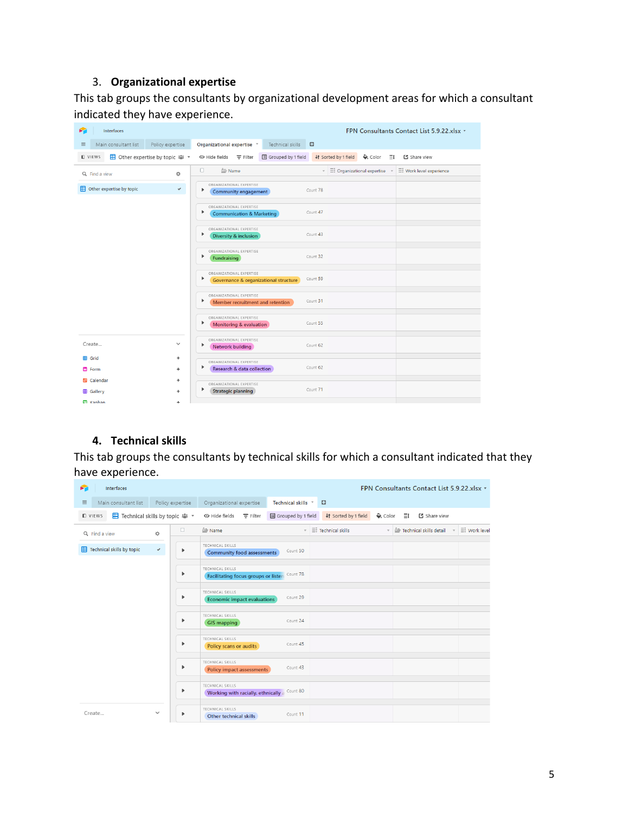## 3. **Organizational expertise**

This tab groups the consultants by organizational development areas for which a consultant indicated they have experience.

| <b>Interfaces</b><br>➤                                 | FPN Consultants Contact List 5.9.22.xlsx *                                                                                            |  |
|--------------------------------------------------------|---------------------------------------------------------------------------------------------------------------------------------------|--|
| Main consultant list<br>Policy expertise<br>Ξ          | $\Box$<br>Organizational expertise v<br>Technical skills                                                                              |  |
| <b>ED</b> Other expertise by topic *<br><b>D</b> VIEWS | Grouped by 1 field<br>↓↑ Sorted by 1 field<br>$\leftrightarrow$ Color<br>년 Share view<br>> Hide fields<br>$\equiv$ Filter<br>$\equiv$ |  |
| 贷<br>Q Find a view                                     | $\Box$<br>$\triangleq$ Name<br>▼ 三 Organizational expertise<br>Eč Work level experience                                               |  |
| Other expertise by topic<br>$\checkmark$               | ORGANIZATIONAL EXPERTISE<br>Count 78<br>▶<br>Community engagement                                                                     |  |
|                                                        | ORGANIZATIONAL EXPERTISE<br>Count 47<br>Þ<br><b>Communication &amp; Marketing</b>                                                     |  |
|                                                        | ORGANIZATIONAL EXPERTISE<br>Count 43<br>Þ<br>Diversity & inclusion                                                                    |  |
|                                                        | ORGANIZATIONAL EXPERTISE<br>Count 32<br>Þ<br>Fundraising                                                                              |  |
|                                                        | ORGANIZATIONAL EXPERTISE<br>Count 59<br>Þ<br>Governance & organizational structure                                                    |  |
|                                                        | ORGANIZATIONAL EXPERTISE<br>Count 31<br>ь<br>Member recruitment and retention                                                         |  |
|                                                        | ORGANIZATIONAL EXPERTISE<br>Count 55<br>Þ<br>Monitoring & evaluation                                                                  |  |
| Create<br>$\checkmark$                                 | ORGANIZATIONAL EXPERTISE<br>Count 62<br>ь<br>Network building                                                                         |  |
| <b>田</b> Grid<br>÷                                     | ORGANIZATIONAL EXPERTISE                                                                                                              |  |
| 目 Form<br>÷                                            | Count 62<br>Research & data collection                                                                                                |  |
| <b>EB</b> Calendar<br>÷                                | ORGANIZATIONAL EXPERTISE                                                                                                              |  |
| <b>EB</b> Gallery<br>÷                                 | Count 71<br><b>Strategic planning</b>                                                                                                 |  |
| <b>M</b> Kanhan<br>÷.                                  |                                                                                                                                       |  |

## **4. Technical skills**

This tab groups the consultants by technical skills for which a consultant indicated that they have experience.

| я<br><b>Interfaces</b>                              |                   |                                                                  |                    |                                                                             |                                   | FPN Consultants Contact List 5.9.22.xlsx *    |                     |
|-----------------------------------------------------|-------------------|------------------------------------------------------------------|--------------------|-----------------------------------------------------------------------------|-----------------------------------|-----------------------------------------------|---------------------|
| Main consultant list<br>$\equiv$                    | Policy expertise  | Organizational expertise                                         | Technical skills * | $\Box$                                                                      |                                   |                                               |                     |
| E Technical skills by topic 2. ▼<br><b>ID VIEWS</b> |                   | Hide fields<br>$\equiv$ Filter                                   | Grouped by 1 field | It Sorted by 1 field                                                        | $\triangle$ , Color<br>$\equiv$ i | [전 Share view                                 |                     |
| Q Find a view                                       | $\Box$<br>ó.      | $\triangleq$ Name                                                |                    | $\overline{\phantom{a}}$ $\equiv$ $\overline{\phantom{a}}$ Technical skills |                                   | $\sqrt{2}$ Technical skills detail $\sqrt{2}$ | $\equiv$ Work level |
| Technical skills by topic                           | $\checkmark$<br>▶ | TECHNICAL SKILLS<br><b>Community food assessments</b>            | Count 50           |                                                                             |                                   |                                               |                     |
|                                                     | ▶                 | TECHNICAL SKILLS<br><b>Facilitating focus groups or listen</b>   | Count 78           |                                                                             |                                   |                                               |                     |
|                                                     | ▶                 | TECHNICAL SKILLS<br>Economic impact evaluations                  | Count 29           |                                                                             |                                   |                                               |                     |
|                                                     | ▶                 | TECHNICAL SKILLS<br><b>GIS mapping</b>                           | Count 24           |                                                                             |                                   |                                               |                     |
|                                                     | ▶                 | TECHNICAL SKILLS<br>Policy scans or audits                       | Count 45           |                                                                             |                                   |                                               |                     |
|                                                     | Þ                 | TECHNICAL SKILLS<br><b>Policy impact assessments</b>             | Count 43           |                                                                             |                                   |                                               |                     |
|                                                     | ▶                 | TECHNICAL SKILLS<br>Working with racially, ethnically a Count 80 |                    |                                                                             |                                   |                                               |                     |
| Create                                              | $\checkmark$<br>▶ | TECHNICAL SKILLS<br>Other technical skills                       | Count 11           |                                                                             |                                   |                                               |                     |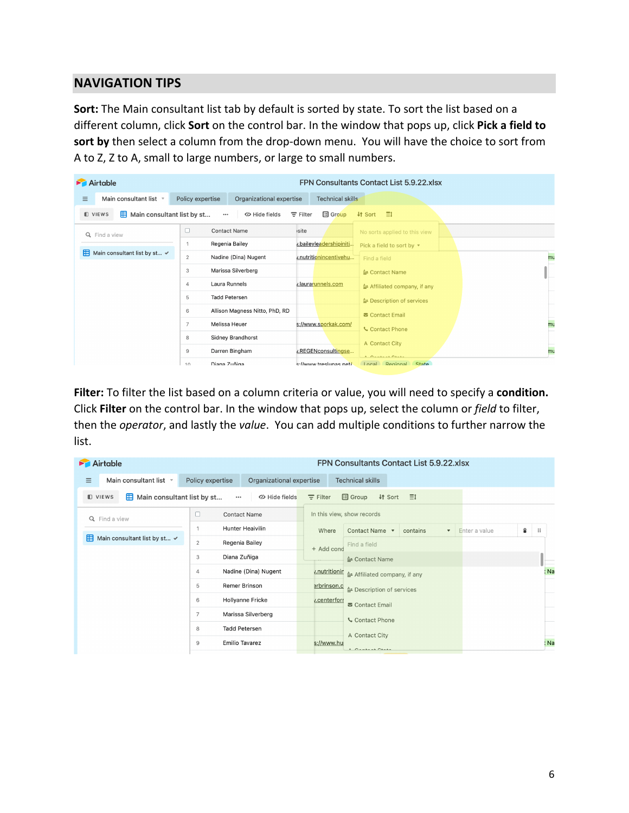## **NAVIGATION TIPS**

**Sort:** The Main consultant list tab by default is sorted by state. To sort the list based on a different column, click **Sort** on the control bar. In the window that pops up, click **Pick a field to sort by** then select a column from the drop-down menu. You will have the choice to sort from A to Z, Z to A, small to large numbers, or large to small numbers.

|          | Airtable                                         |                                              |                                    | FPN Consultants Contact List 5.9.22.xlsx     |    |
|----------|--------------------------------------------------|----------------------------------------------|------------------------------------|----------------------------------------------|----|
| $\equiv$ | Main consultant list v                           | Policy expertise<br>Organizational expertise | <b>Technical skills</b>            |                                              |    |
|          | Main consultant list by st<br><b>D</b> VIEWS     | <b>« Hide fields</b><br>$\cdots$             | <b>Ed</b> Group<br>$\equiv$ Filter | -≣i<br><b>It Sort</b>                        |    |
|          | Q Find a view                                    | 0<br><b>Contact Name</b>                     | isite                              | No sorts applied to this view                |    |
|          |                                                  | Regenia Bailey<br>1                          | v.baileyleadershipiniti            | Pick a field to sort by $\blacktriangledown$ |    |
|          | <b>H</b> Main consultant list by st $\checkmark$ | $\overline{2}$<br>Nadine (Dina) Nugent       | v.nutritionincentivehu             | Find a field                                 | mu |
|          |                                                  | Marissa Silverberg<br>3                      |                                    | ≙ Contact Name                               |    |
|          |                                                  | Laura Runnels<br>4                           | v.laurarunnels.com                 | ≙ Affiliated company, if any                 |    |
|          |                                                  | <b>Tadd Petersen</b><br>5                    |                                    | ≙ Description of services                    |    |
|          |                                                  | Allison Magness Nitto, PhD, RD<br>6          |                                    | <b>⊠</b> Contact Email                       |    |
|          |                                                  | Melissa Heuer<br>7                           | s://www.sporkak.com/               | <b>Contact Phone</b>                         | mu |
|          |                                                  | <b>Sidney Brandhorst</b><br>8                |                                    |                                              |    |
|          |                                                  | Darren Bingham<br>9                          | v.REGENconsultingse                | A Contact City                               | mu |
|          |                                                  | Diana Zuñiga<br>10                           | s://www.treslunas.net/             | A Cantant Clat.<br>Local Regional State      |    |

**Filter:** To filter the list based on a column criteria or value, you will need to specify a **condition.** Click **Filter** on the control bar. In the window that pops up, select the column or *field* to filter, then the *operator*, and lastly the *value*. You can add multiple conditions to further narrow the list.

| Airtable                           |                                                       | FPN Consultants Contact List 5.9.22.xlsx                                     |        |
|------------------------------------|-------------------------------------------------------|------------------------------------------------------------------------------|--------|
| $\equiv$<br>Main consultant list * | Policy expertise<br>Organizational expertise          | <b>Technical skills</b>                                                      |        |
| <b>D</b> VIEWS                     | Main consultant list by st<br>Hide fields<br>$\cdots$ | <b>国</b> Group<br>$\equiv$<br>$\equiv$ Filter<br>↓↑ Sort                     |        |
| Q Find a view                      | □<br><b>Contact Name</b>                              | In this view, show records                                                   |        |
|                                    | <b>Hunter Heaivilin</b>                               | Where<br>Contact Name v<br>contains<br>Enter a value<br>$\blacktriangledown$ | ÷<br>∷ |
| 用<br>Main consultant list by st ✔  | $\overline{2}$<br>Regenia Bailey                      | Find a field<br>+ Add cond                                                   |        |
|                                    | Diana Zuñiga<br>3                                     | $\triangle$ Contact Name                                                     |        |
|                                    | Nadine (Dina) Nugent<br>4                             | <i>v.nutritionir</i><br>Affiliated company, if any                           | : Na   |
|                                    | Remer Brinson<br>5                                    | erbrinson.c<br>≙ Description of services                                     |        |
|                                    | Hollyanne Fricke<br>6                                 | v.centerform<br><b>■</b> Contact Email                                       |        |
|                                    | Marissa Silverberg<br>$\overline{7}$                  | Contact Phone                                                                |        |
|                                    | <b>Tadd Petersen</b><br>8                             | A Contact City                                                               |        |
|                                    | <b>Emilio Tavarez</b><br>9                            | s://www.hu<br>A Cantant Chats                                                | : Na   |